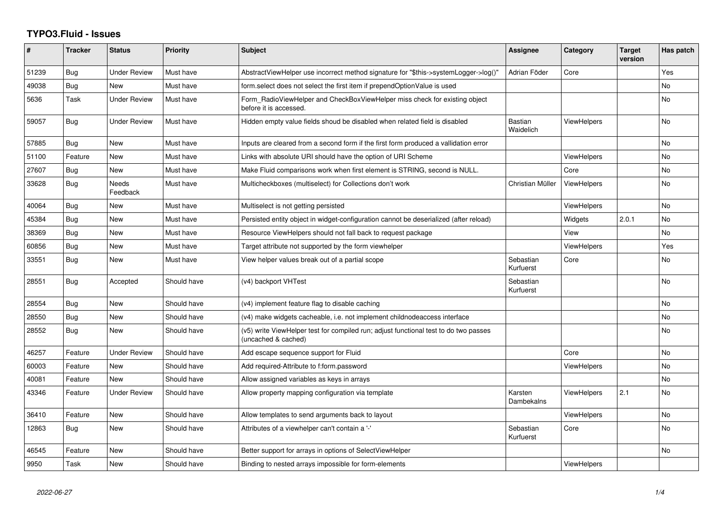## **TYPO3.Fluid - Issues**

| #     | <b>Tracker</b> | <b>Status</b>       | <b>Priority</b> | <b>Subject</b>                                                                                              | <b>Assignee</b>        | Category           | <b>Target</b><br>version | Has patch |
|-------|----------------|---------------------|-----------------|-------------------------------------------------------------------------------------------------------------|------------------------|--------------------|--------------------------|-----------|
| 51239 | Bug            | <b>Under Review</b> | Must have       | AbstractViewHelper use incorrect method signature for "\$this->systemLogger->log()"                         | Adrian Föder           | Core               |                          | Yes       |
| 49038 | Bug            | New                 | Must have       | form.select does not select the first item if prependOptionValue is used                                    |                        |                    |                          | <b>No</b> |
| 5636  | Task           | <b>Under Review</b> | Must have       | Form_RadioViewHelper and CheckBoxViewHelper miss check for existing object<br>before it is accessed.        |                        |                    |                          | <b>No</b> |
| 59057 | Bug            | Under Review        | Must have       | Hidden empty value fields shoud be disabled when related field is disabled                                  | Bastian<br>Waidelich   | <b>ViewHelpers</b> |                          | <b>No</b> |
| 57885 | Bug            | New                 | Must have       | Inputs are cleared from a second form if the first form produced a vallidation error                        |                        |                    |                          | No        |
| 51100 | Feature        | <b>New</b>          | Must have       | Links with absolute URI should have the option of URI Scheme                                                |                        | <b>ViewHelpers</b> |                          | <b>No</b> |
| 27607 | <b>Bug</b>     | New                 | Must have       | Make Fluid comparisons work when first element is STRING, second is NULL.                                   |                        | Core               |                          | <b>No</b> |
| 33628 | Bug            | Needs<br>Feedback   | Must have       | Multicheckboxes (multiselect) for Collections don't work                                                    | Christian Müller       | <b>ViewHelpers</b> |                          | <b>No</b> |
| 40064 | <b>Bug</b>     | New                 | Must have       | Multiselect is not getting persisted                                                                        |                        | <b>ViewHelpers</b> |                          | No.       |
| 45384 | Bug            | New                 | Must have       | Persisted entity object in widget-configuration cannot be deserialized (after reload)                       |                        | Widgets            | 2.0.1                    | <b>No</b> |
| 38369 | Bug            | New                 | Must have       | Resource ViewHelpers should not fall back to request package                                                |                        | View               |                          | <b>No</b> |
| 60856 | Bug            | New                 | Must have       | Target attribute not supported by the form viewhelper                                                       |                        | ViewHelpers        |                          | Yes       |
| 33551 | Bug            | <b>New</b>          | Must have       | View helper values break out of a partial scope                                                             | Sebastian<br>Kurfuerst | Core               |                          | <b>No</b> |
| 28551 | Bug            | Accepted            | Should have     | (v4) backport VHTest                                                                                        | Sebastian<br>Kurfuerst |                    |                          | <b>No</b> |
| 28554 | Bug            | New                 | Should have     | (v4) implement feature flag to disable caching                                                              |                        |                    |                          | No        |
| 28550 | <b>Bug</b>     | New                 | Should have     | (v4) make widgets cacheable, i.e. not implement childnodeaccess interface                                   |                        |                    |                          | <b>No</b> |
| 28552 | <b>Bug</b>     | New                 | Should have     | (v5) write ViewHelper test for compiled run; adjust functional test to do two passes<br>(uncached & cached) |                        |                    |                          | No.       |
| 46257 | Feature        | Under Review        | Should have     | Add escape sequence support for Fluid                                                                       |                        | Core               |                          | No        |
| 60003 | Feature        | <b>New</b>          | Should have     | Add required-Attribute to f:form.password                                                                   |                        | <b>ViewHelpers</b> |                          | <b>No</b> |
| 40081 | Feature        | <b>New</b>          | Should have     | Allow assigned variables as keys in arrays                                                                  |                        |                    |                          | <b>No</b> |
| 43346 | Feature        | <b>Under Review</b> | Should have     | Allow property mapping configuration via template                                                           | Karsten<br>Dambekalns  | ViewHelpers        | 2.1                      | No.       |
| 36410 | Feature        | New                 | Should have     | Allow templates to send arguments back to layout                                                            |                        | <b>ViewHelpers</b> |                          | No        |
| 12863 | Bug            | New                 | Should have     | Attributes of a viewhelper can't contain a '-'                                                              | Sebastian<br>Kurfuerst | Core               |                          | No.       |
| 46545 | Feature        | New                 | Should have     | Better support for arrays in options of SelectViewHelper                                                    |                        |                    |                          | No        |
| 9950  | Task           | New                 | Should have     | Binding to nested arrays impossible for form-elements                                                       |                        | ViewHelpers        |                          |           |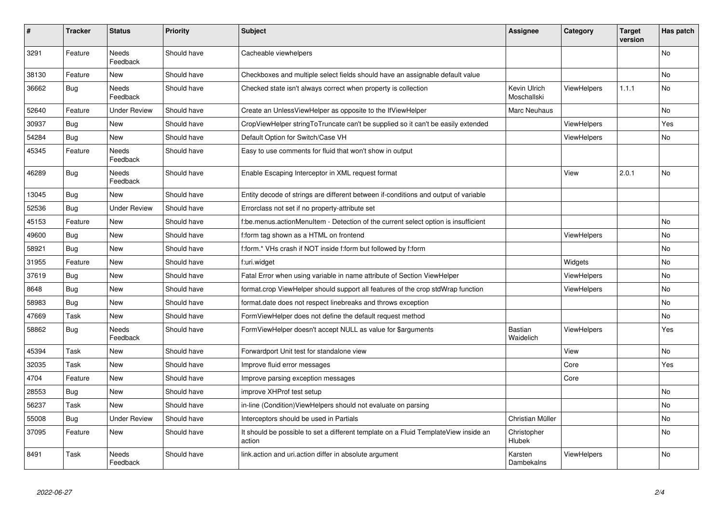| #     | <b>Tracker</b> | <b>Status</b>            | <b>Priority</b> | <b>Subject</b>                                                                                | Assignee                    | Category           | <b>Target</b><br>version | Has patch |
|-------|----------------|--------------------------|-----------------|-----------------------------------------------------------------------------------------------|-----------------------------|--------------------|--------------------------|-----------|
| 3291  | Feature        | Needs<br>Feedback        | Should have     | Cacheable viewhelpers                                                                         |                             |                    |                          | No        |
| 38130 | Feature        | <b>New</b>               | Should have     | Checkboxes and multiple select fields should have an assignable default value                 |                             |                    |                          | <b>No</b> |
| 36662 | <b>Bug</b>     | Needs<br>Feedback        | Should have     | Checked state isn't always correct when property is collection                                | Kevin Ulrich<br>Moschallski | <b>ViewHelpers</b> | 1.1.1                    | No        |
| 52640 | Feature        | <b>Under Review</b>      | Should have     | Create an UnlessViewHelper as opposite to the IfViewHelper                                    | Marc Neuhaus                |                    |                          | <b>No</b> |
| 30937 | <b>Bug</b>     | New                      | Should have     | CropViewHelper stringToTruncate can't be supplied so it can't be easily extended              |                             | <b>ViewHelpers</b> |                          | Yes       |
| 54284 | Bug            | New                      | Should have     | Default Option for Switch/Case VH                                                             |                             | <b>ViewHelpers</b> |                          | No        |
| 45345 | Feature        | <b>Needs</b><br>Feedback | Should have     | Easy to use comments for fluid that won't show in output                                      |                             |                    |                          |           |
| 46289 | Bug            | Needs<br>Feedback        | Should have     | Enable Escaping Interceptor in XML request format                                             |                             | View               | 2.0.1                    | No        |
| 13045 | Bug            | New                      | Should have     | Entity decode of strings are different between if-conditions and output of variable           |                             |                    |                          |           |
| 52536 | Bug            | <b>Under Review</b>      | Should have     | Errorclass not set if no property-attribute set                                               |                             |                    |                          |           |
| 45153 | Feature        | New                      | Should have     | f:be.menus.actionMenuItem - Detection of the current select option is insufficient            |                             |                    |                          | No        |
| 49600 | Bug            | New                      | Should have     | f:form tag shown as a HTML on frontend                                                        |                             | <b>ViewHelpers</b> |                          | No        |
| 58921 | Bug            | New                      | Should have     | f:form.* VHs crash if NOT inside f:form but followed by f:form                                |                             |                    |                          | No        |
| 31955 | Feature        | New                      | Should have     | f:uri.widget                                                                                  |                             | Widgets            |                          | No        |
| 37619 | Bug            | New                      | Should have     | Fatal Error when using variable in name attribute of Section ViewHelper                       |                             | <b>ViewHelpers</b> |                          | No        |
| 8648  | Bug            | New                      | Should have     | format.crop ViewHelper should support all features of the crop stdWrap function               |                             | <b>ViewHelpers</b> |                          | <b>No</b> |
| 58983 | <b>Bug</b>     | New                      | Should have     | format.date does not respect linebreaks and throws exception                                  |                             |                    |                          | No        |
| 47669 | Task           | New                      | Should have     | FormViewHelper does not define the default request method                                     |                             |                    |                          | No        |
| 58862 | Bug            | Needs<br>Feedback        | Should have     | FormViewHelper doesn't accept NULL as value for \$arguments                                   | <b>Bastian</b><br>Waidelich | <b>ViewHelpers</b> |                          | Yes       |
| 45394 | Task           | New                      | Should have     | Forwardport Unit test for standalone view                                                     |                             | View               |                          | No        |
| 32035 | Task           | New                      | Should have     | Improve fluid error messages                                                                  |                             | Core               |                          | Yes       |
| 4704  | Feature        | New                      | Should have     | Improve parsing exception messages                                                            |                             | Core               |                          |           |
| 28553 | <b>Bug</b>     | New                      | Should have     | improve XHProf test setup                                                                     |                             |                    |                          | No        |
| 56237 | Task           | New                      | Should have     | in-line (Condition)ViewHelpers should not evaluate on parsing                                 |                             |                    |                          | No        |
| 55008 | Bug            | Under Review             | Should have     | Interceptors should be used in Partials                                                       | Christian Müller            |                    |                          | No        |
| 37095 | Feature        | New                      | Should have     | It should be possible to set a different template on a Fluid TemplateView inside an<br>action | Christopher<br>Hlubek       |                    |                          | No        |
| 8491  | Task           | Needs<br>Feedback        | Should have     | link.action and uri.action differ in absolute argument                                        | Karsten<br>Dambekalns       | ViewHelpers        |                          | No        |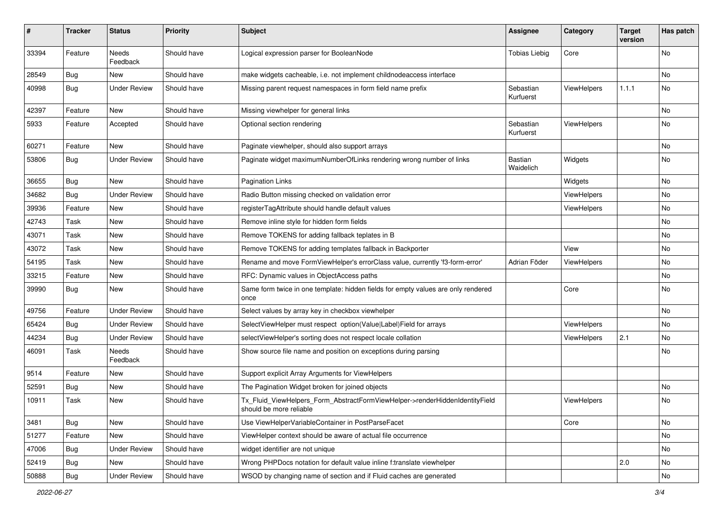| #     | <b>Tracker</b> | <b>Status</b>            | <b>Priority</b> | <b>Subject</b>                                                                                         | <b>Assignee</b>        | Category           | <b>Target</b><br>version | Has patch |
|-------|----------------|--------------------------|-----------------|--------------------------------------------------------------------------------------------------------|------------------------|--------------------|--------------------------|-----------|
| 33394 | Feature        | <b>Needs</b><br>Feedback | Should have     | Logical expression parser for BooleanNode                                                              | <b>Tobias Liebig</b>   | Core               |                          | <b>No</b> |
| 28549 | <b>Bug</b>     | New                      | Should have     | make widgets cacheable, i.e. not implement childnodeaccess interface                                   |                        |                    |                          | No        |
| 40998 | Bug            | <b>Under Review</b>      | Should have     | Missing parent request namespaces in form field name prefix                                            | Sebastian<br>Kurfuerst | ViewHelpers        | 1.1.1                    | No        |
| 42397 | Feature        | <b>New</b>               | Should have     | Missing viewhelper for general links                                                                   |                        |                    |                          | No        |
| 5933  | Feature        | Accepted                 | Should have     | Optional section rendering                                                                             | Sebastian<br>Kurfuerst | ViewHelpers        |                          | No        |
| 60271 | Feature        | New                      | Should have     | Paginate viewhelper, should also support arrays                                                        |                        |                    |                          | No        |
| 53806 | <b>Bug</b>     | <b>Under Review</b>      | Should have     | Paginate widget maximumNumberOfLinks rendering wrong number of links                                   | Bastian<br>Waidelich   | Widgets            |                          | No        |
| 36655 | Bug            | New                      | Should have     | <b>Pagination Links</b>                                                                                |                        | Widgets            |                          | No        |
| 34682 | <b>Bug</b>     | <b>Under Review</b>      | Should have     | Radio Button missing checked on validation error                                                       |                        | <b>ViewHelpers</b> |                          | No        |
| 39936 | Feature        | New                      | Should have     | registerTagAttribute should handle default values                                                      |                        | ViewHelpers        |                          | No        |
| 42743 | Task           | New                      | Should have     | Remove inline style for hidden form fields                                                             |                        |                    |                          | No        |
| 43071 | Task           | New                      | Should have     | Remove TOKENS for adding fallback teplates in B                                                        |                        |                    |                          | No        |
| 43072 | Task           | New                      | Should have     | Remove TOKENS for adding templates fallback in Backporter                                              |                        | View               |                          | No        |
| 54195 | Task           | New                      | Should have     | Rename and move FormViewHelper's errorClass value, currently 'f3-form-error'                           | Adrian Föder           | ViewHelpers        |                          | No        |
| 33215 | Feature        | New                      | Should have     | RFC: Dynamic values in ObjectAccess paths                                                              |                        |                    |                          | No        |
| 39990 | <b>Bug</b>     | New                      | Should have     | Same form twice in one template: hidden fields for empty values are only rendered<br>once              |                        | Core               |                          | No        |
| 49756 | Feature        | <b>Under Review</b>      | Should have     | Select values by array key in checkbox viewhelper                                                      |                        |                    |                          | <b>No</b> |
| 65424 | <b>Bug</b>     | <b>Under Review</b>      | Should have     | SelectViewHelper must respect option(Value Label)Field for arrays                                      |                        | ViewHelpers        |                          | No        |
| 44234 | <b>Bug</b>     | <b>Under Review</b>      | Should have     | selectViewHelper's sorting does not respect locale collation                                           |                        | ViewHelpers        | 2.1                      | No        |
| 46091 | Task           | Needs<br>Feedback        | Should have     | Show source file name and position on exceptions during parsing                                        |                        |                    |                          | No        |
| 9514  | Feature        | New                      | Should have     | Support explicit Array Arguments for ViewHelpers                                                       |                        |                    |                          |           |
| 52591 | <b>Bug</b>     | New                      | Should have     | The Pagination Widget broken for joined objects                                                        |                        |                    |                          | No        |
| 10911 | Task           | New                      | Should have     | Tx_Fluid_ViewHelpers_Form_AbstractFormViewHelper->renderHiddenIdentityField<br>should be more reliable |                        | ViewHelpers        |                          | No        |
| 3481  | Bug            | New                      | Should have     | Use ViewHelperVariableContainer in PostParseFacet                                                      |                        | Core               |                          | No        |
| 51277 | Feature        | New                      | Should have     | ViewHelper context should be aware of actual file occurrence                                           |                        |                    |                          | No        |
| 47006 | Bug            | <b>Under Review</b>      | Should have     | widget identifier are not unique                                                                       |                        |                    |                          | No        |
| 52419 | <b>Bug</b>     | New                      | Should have     | Wrong PHPDocs notation for default value inline f:translate viewhelper                                 |                        |                    | 2.0                      | No        |
| 50888 | Bug            | <b>Under Review</b>      | Should have     | WSOD by changing name of section and if Fluid caches are generated                                     |                        |                    |                          | No        |